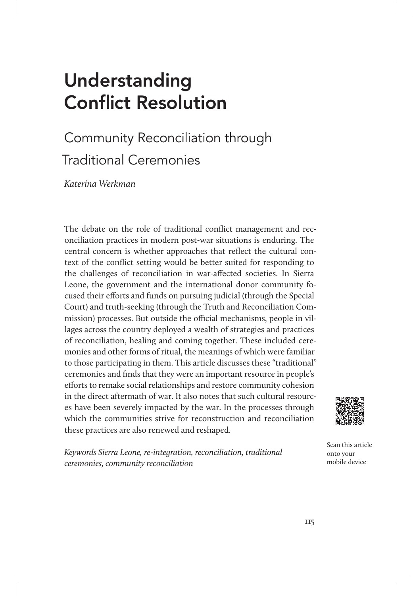# Understanding Conflict Resolution

## Community Reconciliation through Traditional Ceremonies

Katerina Werkman

The debate on the role of traditional conflict management and reconciliation practices in modern post-war situations is enduring. The central concern is whether approaches that reflect the cultural context of the conflict setting would be better suited for responding to the challenges of reconciliation in war-affected societies. In Sierra Leone, the government and the international donor community focused their efforts and funds on pursuing judicial (through the Special Court) and truth-seeking (through the Truth and Reconciliation Commission) processes. But outside the official mechanisms, people in villages across the country deployed a wealth of strategies and practices of reconciliation, healing and coming together. These included ceremonies and other forms of ritual, the meanings of which were familiar to those participating in them. This article discusses these "traditional" ceremonies and finds that they were an important resource in people's efforts to remake social relationships and restore community cohesion in the direct aftermath of war. It also notes that such cultural resources have been severely impacted by the war. In the processes through which the communities strive for reconstruction and reconciliation these practices are also renewed and reshaped.



Keywords Sierra Leone, re-integration, reconciliation, traditional ceremonies, community reconciliation

Scan this article onto your mobile device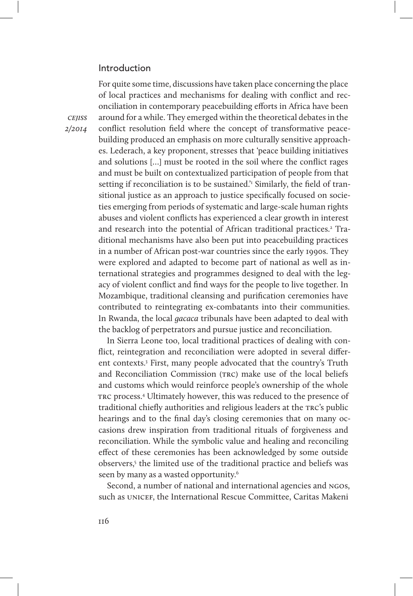## Introduction

**CEIISS** 2/2014

of local practices and mechanisms for dealing with conflict and reconciliation in contemporary peacebuilding efforts in Africa have been around for a while. They emerged within the theoretical debates in the conflict resolution field where the concept of transformative peacebuilding produced an emphasis on more culturally sensitive approaches. Lederach, a key proponent, stresses that 'peace building initiatives and solutions […] must be rooted in the soil where the conflict rages and must be built on contextualized participation of people from that setting if reconciliation is to be sustained.<sup>'</sup> Similarly, the field of transitional justice as an approach to justice specifically focused on societies emerging from periods of systematic and large-scale human rights abuses and violent conflicts has experienced a clear growth in interest and research into the potential of African traditional practices.<sup>2</sup> Traditional mechanisms have also been put into peacebuilding practices in a number of African post-war countries since the early 1990s. They were explored and adapted to become part of national as well as international strategies and programmes designed to deal with the legacy of violent conflict and find ways for the people to live together. In Mozambique, traditional cleansing and purification ceremonies have contributed to reintegrating ex-combatants into their communities. In Rwanda, the local gacaca tribunals have been adapted to deal with the backlog of perpetrators and pursue justice and reconciliation.

For quite some time, discussions have taken place concerning the place

In Sierra Leone too, local traditional practices of dealing with conflict, reintegration and reconciliation were adopted in several different contexts.<sup>3</sup> First, many people advocated that the country's Truth and Reconciliation Commission (TRC) make use of the local beliefs and customs which would reinforce people's ownership of the whole TRC process.<sup>4</sup> Ultimately however, this was reduced to the presence of traditional chiefly authorities and religious leaders at the TRC's public hearings and to the final day's closing ceremonies that on many occasions drew inspiration from traditional rituals of forgiveness and reconciliation. While the symbolic value and healing and reconciling effect of these ceremonies has been acknowledged by some outside observers,<sup>5</sup> the limited use of the traditional practice and beliefs was seen by many as a wasted opportunity.<sup>6</sup>

Second, a number of national and international agencies and NGOS, such as UNICEF, the International Rescue Committee, Caritas Makeni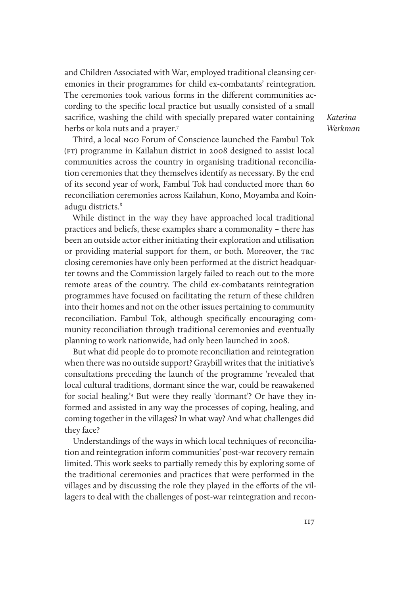and Children Associated with War, employed traditional cleansing ceremonies in their programmes for child ex-combatants' reintegration. The ceremonies took various forms in the different communities according to the specific local practice but usually consisted of a small sacrifice, washing the child with specially prepared water containing herbs or kola nuts and a prayer.7

Third, a local ngo Forum of Conscience launched the Fambul Tok (ft) programme in Kailahun district in 2008 designed to assist local communities across the country in organising traditional reconciliation ceremonies that they themselves identify as necessary. By the end of its second year of work, Fambul Tok had conducted more than 60 reconciliation ceremonies across Kailahun, Kono, Moyamba and Koinadugu districts.<sup>8</sup>

While distinct in the way they have approached local traditional practices and beliefs, these examples share a commonality – there has been an outside actor either initiating their exploration and utilisation or providing material support for them, or both. Moreover, the trc closing ceremonies have only been performed at the district headquarter towns and the Commission largely failed to reach out to the more remote areas of the country. The child ex-combatants reintegration programmes have focused on facilitating the return of these children into their homes and not on the other issues pertaining to community reconciliation. Fambul Tok, although specifically encouraging community reconciliation through traditional ceremonies and eventually planning to work nationwide, had only been launched in 2008.

But what did people do to promote reconciliation and reintegration when there was no outside support? Graybill writes that the initiative's consultations preceding the launch of the programme 'revealed that local cultural traditions, dormant since the war, could be reawakened for social healing.'<sup>9</sup> But were they really 'dormant'? Or have they informed and assisted in any way the processes of coping, healing, and coming together in the villages? In what way? And what challenges did they face?

Understandings of the ways in which local techniques of reconciliation and reintegration inform communities' post-war recovery remain limited. This work seeks to partially remedy this by exploring some of the traditional ceremonies and practices that were performed in the villages and by discussing the role they played in the efforts of the villagers to deal with the challenges of post-war reintegration and recon-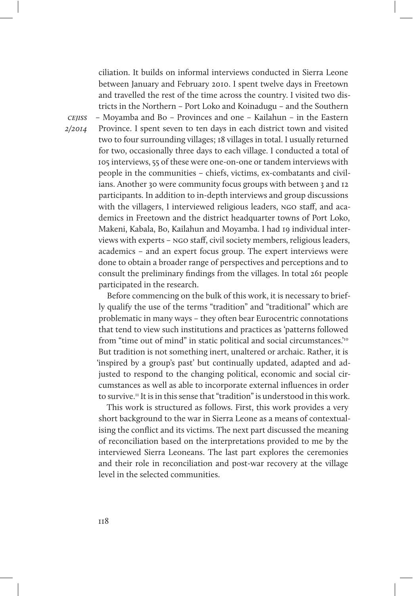cejiss ciliation. It builds on informal interviews conducted in Sierra Leone between January and February 2010. I spent twelve days in Freetown and travelled the rest of the time across the country. I visited two districts in the Northern – Port Loko and Koinadugu – and the Southern – Moyamba and Bo – Provinces and one – Kailahun – in the Eastern Province. I spent seven to ten days in each district town and visited two to four surrounding villages; 18 villages in total. I usually returned for two, occasionally three days to each village. I conducted a total of 105 interviews, 55 of these were one-on-one or tandem interviews with people in the communities – chiefs, victims, ex-combatants and civilians. Another 30 were community focus groups with between 3 and 12 participants. In addition to in-depth interviews and group discussions with the villagers, I interviewed religious leaders, ngo staff, and academics in Freetown and the district headquarter towns of Port Loko, Makeni, Kabala, Bo, Kailahun and Moyamba. I had 19 individual interviews with experts – ngo staff, civil society members, religious leaders, academics – and an expert focus group. The expert interviews were done to obtain a broader range of perspectives and perceptions and to consult the preliminary findings from the villages. In total 261 people participated in the research.

> Before commencing on the bulk of this work, it is necessary to briefly qualify the use of the terms "tradition" and "traditional" which are problematic in many ways – they often bear Eurocentric connotations that tend to view such institutions and practices as 'patterns followed from "time out of mind" in static political and social circumstances.<sup>10</sup> But tradition is not something inert, unaltered or archaic. Rather, it is 'inspired by a group's past' but continually updated, adapted and adjusted to respond to the changing political, economic and social circumstances as well as able to incorporate external influences in order to survive.11 It is in this sense that "tradition" is understood in this work.

> This work is structured as follows. First, this work provides a very short background to the war in Sierra Leone as a means of contextualising the conflict and its victims. The next part discussed the meaning of reconciliation based on the interpretations provided to me by the interviewed Sierra Leoneans. The last part explores the ceremonies and their role in reconciliation and post-war recovery at the village level in the selected communities.

2/2014

118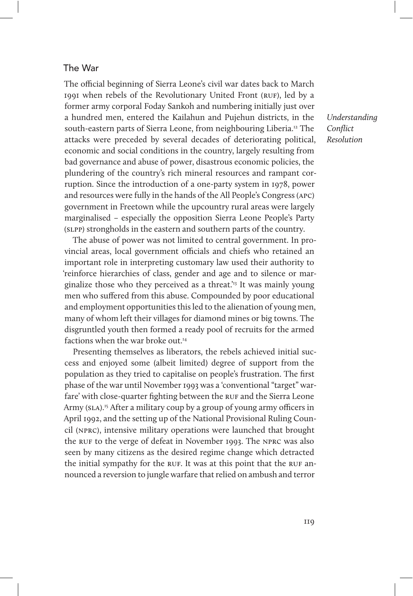## The War

The official beginning of Sierra Leone's civil war dates back to March 1991 when rebels of the Revolutionary United Front (ruf), led by a former army corporal Foday Sankoh and numbering initially just over a hundred men, entered the Kailahun and Pujehun districts, in the south-eastern parts of Sierra Leone, from neighbouring Liberia.<sup>12</sup> The attacks were preceded by several decades of deteriorating political, economic and social conditions in the country, largely resulting from bad governance and abuse of power, disastrous economic policies, the plundering of the country's rich mineral resources and rampant corruption. Since the introduction of a one-party system in 1978, power and resources were fully in the hands of the All People's Congress (apc) government in Freetown while the upcountry rural areas were largely marginalised – especially the opposition Sierra Leone People's Party (slpp) strongholds in the eastern and southern parts of the country.

The abuse of power was not limited to central government. In provincial areas, local government officials and chiefs who retained an important role in interpreting customary law used their authority to 'reinforce hierarchies of class, gender and age and to silence or marginalize those who they perceived as a threat.<sup>'13</sup> It was mainly young men who suffered from this abuse. Compounded by poor educational and employment opportunities this led to the alienation of young men, many of whom left their villages for diamond mines or big towns. The disgruntled youth then formed a ready pool of recruits for the armed factions when the war broke out.<sup>14</sup>

Presenting themselves as liberators, the rebels achieved initial success and enjoyed some (albeit limited) degree of support from the population as they tried to capitalise on people's frustration. The first phase of the war until November 1993 was a 'conventional "target" warfare' with close-quarter fighting between the RUF and the Sierra Leone Army (SLA).<sup>15</sup> After a military coup by a group of young army officers in April 1992, and the setting up of the National Provisional Ruling Council (nprc), intensive military operations were launched that brought the RUF to the verge of defeat in November 1993. The NPRC was also seen by many citizens as the desired regime change which detracted the initial sympathy for the RUF. It was at this point that the RUF announced a reversion to jungle warfare that relied on ambush and terror

Understanding Conflict Resolution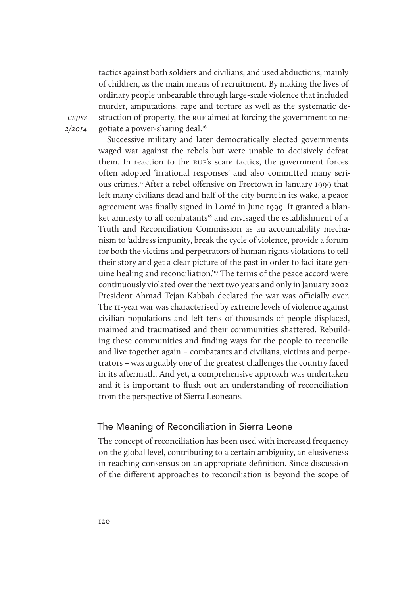tactics against both soldiers and civilians, and used abductions, mainly of children, as the main means of recruitment. By making the lives of ordinary people unbearable through large-scale violence that included murder, amputations, rape and torture as well as the systematic destruction of property, the RUF aimed at forcing the government to negotiate a power-sharing deal.<sup>16</sup>

**CEIISS** 2/2014

> Successive military and later democratically elected governments waged war against the rebels but were unable to decisively defeat them. In reaction to the ruf's scare tactics, the government forces often adopted 'irrational responses' and also committed many serious crimes.17 After a rebel offensive on Freetown in January 1999 that left many civilians dead and half of the city burnt in its wake, a peace agreement was finally signed in Lomé in June 1999. It granted a blanket amnesty to all combatants<sup>18</sup> and envisaged the establishment of a Truth and Reconciliation Commission as an accountability mechanism to 'address impunity, break the cycle of violence, provide a forum for both the victims and perpetrators of human rights violations to tell their story and get a clear picture of the past in order to facilitate genuine healing and reconciliation.'19 The terms of the peace accord were continuously violated over the next two years and only in January 2002 President Ahmad Tejan Kabbah declared the war was officially over. The 11-year war was characterised by extreme levels of violence against civilian populations and left tens of thousands of people displaced, maimed and traumatised and their communities shattered. Rebuilding these communities and finding ways for the people to reconcile and live together again – combatants and civilians, victims and perpetrators – was arguably one of the greatest challenges the country faced in its aftermath. And yet, a comprehensive approach was undertaken and it is important to flush out an understanding of reconciliation from the perspective of Sierra Leoneans.

## The Meaning of Reconciliation in Sierra Leone

The concept of reconciliation has been used with increased frequency on the global level, contributing to a certain ambiguity, an elusiveness in reaching consensus on an appropriate definition. Since discussion of the different approaches to reconciliation is beyond the scope of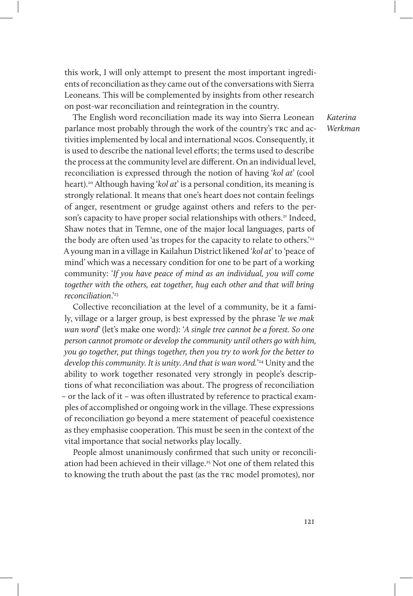this work, I will only attempt to present the most important ingredients of reconciliation as they came out of the conversations with Sierra Leoneans. This will be complemented by insights from other research on post-war reconciliation and reintegration in the country.

The English word reconciliation made its way into Sierra Leonean parlance most probably through the work of the country's TRC and activities implemented by local and international ngos. Consequently, it is used to describe the national level efforts; the terms used to describe the process at the community level are different. On an individual level, reconciliation is expressed through the notion of having 'kol at' (cool heart).<sup>20</sup> Although having 'kol at' is a personal condition, its meaning is strongly relational. It means that one's heart does not contain feelings of anger, resentment or grudge against others and refers to the person's capacity to have proper social relationships with others.<sup>21</sup> Indeed, Shaw notes that in Temne, one of the major local languages, parts of the body are often used 'as tropes for the capacity to relate to others.<sup>'22</sup> A young man in a village in Kailahun District likened 'kol at' to 'peace of mind' which was a necessary condition for one to be part of a working community: 'If you have peace of mind as an individual, you will come together with the others, eat together, hug each other and that will bring reconciliation.'23

Collective reconciliation at the level of a community, be it a family, village or a larger group, is best expressed by the phrase 'le we mak wan word' (let's make one word): 'A single tree cannot be a forest. So one person cannot promote or develop the community until others go with him, you go together, put things together, then you try to work for the better to develop this community. It is unity. And that is wan word.' 24 Unity and the ability to work together resonated very strongly in people's descriptions of what reconciliation was about. The progress of reconciliation – or the lack of it – was often illustrated by reference to practical examples of accomplished or ongoing work in the village. These expressions of reconciliation go beyond a mere statement of peaceful coexistence as they emphasise cooperation. This must be seen in the context of the vital importance that social networks play locally.

People almost unanimously confirmed that such unity or reconciliation had been achieved in their village.<sup>25</sup> Not one of them related this to knowing the truth about the past (as the TRC model promotes), nor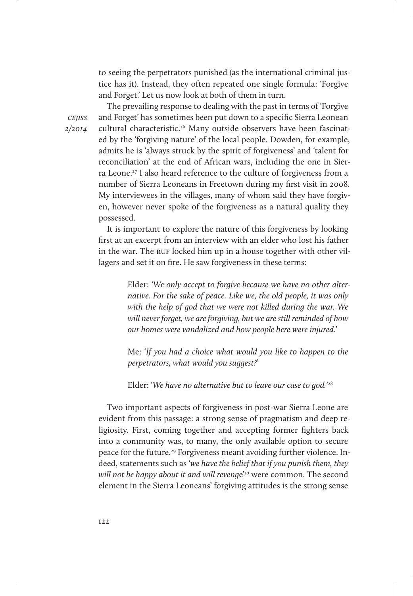to seeing the perpetrators punished (as the international criminal justice has it). Instead, they often repeated one single formula: 'Forgive and Forget.' Let us now look at both of them in turn.

**CEIISS** 2/2014

The prevailing response to dealing with the past in terms of 'Forgive and Forget' has sometimes been put down to a specific Sierra Leonean cultural characteristic.<sup>26</sup> Many outside observers have been fascinated by the 'forgiving nature' of the local people. Dowden, for example, admits he is 'always struck by the spirit of forgiveness' and 'talent for reconciliation' at the end of African wars, including the one in Sierra Leone.27 I also heard reference to the culture of forgiveness from a number of Sierra Leoneans in Freetown during my first visit in 2008. My interviewees in the villages, many of whom said they have forgiven, however never spoke of the forgiveness as a natural quality they possessed.

It is important to explore the nature of this forgiveness by looking first at an excerpt from an interview with an elder who lost his father in the war. The RUF locked him up in a house together with other villagers and set it on fire. He saw forgiveness in these terms:

> Elder: 'We only accept to forgive because we have no other alternative. For the sake of peace. Like we, the old people, it was only with the help of god that we were not killed during the war. We will never forget, we are forgiving, but we are still reminded of how our homes were vandalized and how people here were injured.'

> Me: 'If you had a choice what would you like to happen to the perpetrators, what would you suggest?'

Elder: 'We have no alternative but to leave our case to god.'<sup>28</sup>

Two important aspects of forgiveness in post-war Sierra Leone are evident from this passage: a strong sense of pragmatism and deep religiosity. First, coming together and accepting former fighters back into a community was, to many, the only available option to secure peace for the future.<sup>29</sup> Forgiveness meant avoiding further violence. Indeed, statements such as 'we have the belief that if you punish them, they will not be happy about it and will revenge'<sup>30</sup> were common. The second element in the Sierra Leoneans' forgiving attitudes is the strong sense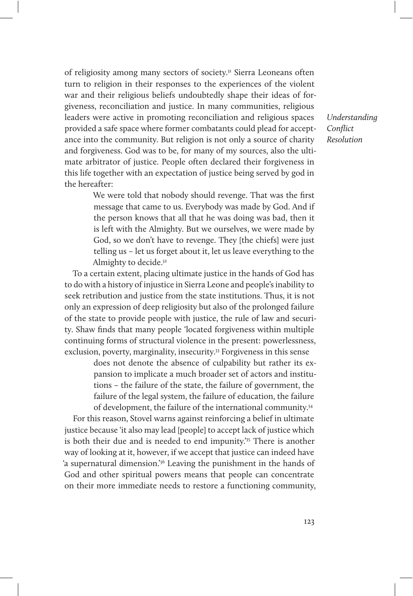of religiosity among many sectors of society.<sup>31</sup> Sierra Leoneans often turn to religion in their responses to the experiences of the violent war and their religious beliefs undoubtedly shape their ideas of forgiveness, reconciliation and justice. In many communities, religious leaders were active in promoting reconciliation and religious spaces provided a safe space where former combatants could plead for acceptance into the community. But religion is not only a source of charity and forgiveness. God was to be, for many of my sources, also the ultimate arbitrator of justice. People often declared their forgiveness in this life together with an expectation of justice being served by god in the hereafter:

> We were told that nobody should revenge. That was the first message that came to us. Everybody was made by God. And if the person knows that all that he was doing was bad, then it is left with the Almighty. But we ourselves, we were made by God, so we don't have to revenge. They [the chiefs] were just telling us – let us forget about it, let us leave everything to the Almighty to decide.32

To a certain extent, placing ultimate justice in the hands of God has to do with a history of injustice in Sierra Leone and people's inability to seek retribution and justice from the state institutions. Thus, it is not only an expression of deep religiosity but also of the prolonged failure of the state to provide people with justice, the rule of law and security. Shaw finds that many people 'located forgiveness within multiple continuing forms of structural violence in the present: powerlessness, exclusion, poverty, marginality, insecurity.<sup>33</sup> Forgiveness in this sense

> does not denote the absence of culpability but rather its expansion to implicate a much broader set of actors and institutions – the failure of the state, the failure of government, the failure of the legal system, the failure of education, the failure of development, the failure of the international community.34

For this reason, Stovel warns against reinforcing a belief in ultimate justice because 'it also may lead [people] to accept lack of justice which is both their due and is needed to end impunity.<sup>'35</sup> There is another way of looking at it, however, if we accept that justice can indeed have 'a supernatural dimension.'36 Leaving the punishment in the hands of God and other spiritual powers means that people can concentrate on their more immediate needs to restore a functioning community,

Understanding Conflict Resolution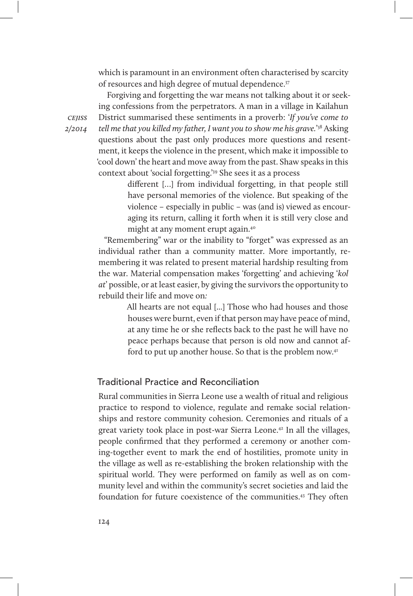which is paramount in an environment often characterised by scarcity of resources and high degree of mutual dependence.37

Forgiving and forgetting the war means not talking about it or seeking confessions from the perpetrators. A man in a village in Kailahun District summarised these sentiments in a proverb: 'If you've come to tell me that you killed my father, I want you to show me his grave.' 38 Asking questions about the past only produces more questions and resentment, it keeps the violence in the present, which make it impossible to 'cool down' the heart and move away from the past. Shaw speaks in this context about 'social forgetting.'39 She sees it as a process

> different […] from individual forgetting, in that people still have personal memories of the violence. But speaking of the violence – especially in public – was (and is) viewed as encouraging its return, calling it forth when it is still very close and might at any moment erupt again.40

"Remembering" war or the inability to "forget" was expressed as an individual rather than a community matter. More importantly, remembering it was related to present material hardship resulting from the war. Material compensation makes 'forgetting' and achieving 'kol at' possible, or at least easier, by giving the survivors the opportunity to rebuild their life and move on:

> All hearts are not equal [...] Those who had houses and those houses were burnt, even if that person may have peace of mind, at any time he or she reflects back to the past he will have no peace perhaps because that person is old now and cannot afford to put up another house. So that is the problem now.<sup>41</sup>

## Traditional Practice and Reconciliation

Rural communities in Sierra Leone use a wealth of ritual and religious practice to respond to violence, regulate and remake social relationships and restore community cohesion. Ceremonies and rituals of a great variety took place in post-war Sierra Leone.42 In all the villages, people confirmed that they performed a ceremony or another coming-together event to mark the end of hostilities, promote unity in the village as well as re-establishing the broken relationship with the spiritual world. They were performed on family as well as on community level and within the community's secret societies and laid the foundation for future coexistence of the communities.43 They often

**CEIISS** 2/2014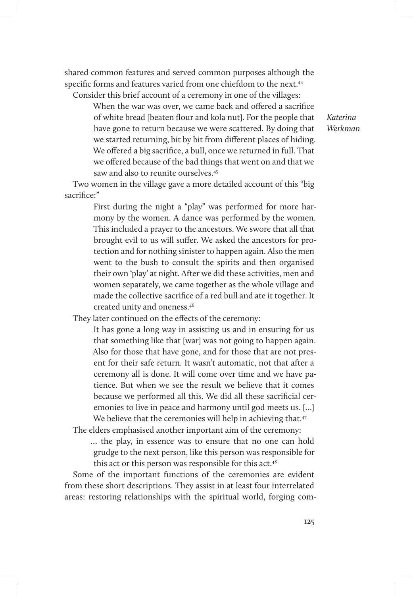shared common features and served common purposes although the specific forms and features varied from one chiefdom to the next.<sup>44</sup> Consider this brief account of a ceremony in one of the villages:

When the war was over, we came back and offered a sacrifice of white bread [beaten flour and kola nut]. For the people that have gone to return because we were scattered. By doing that we started returning, bit by bit from different places of hiding. We offered a big sacrifice, a bull, once we returned in full. That we offered because of the bad things that went on and that we saw and also to reunite ourselves.45

Two women in the village gave a more detailed account of this "big sacrifice:"

> First during the night a "play" was performed for more harmony by the women. A dance was performed by the women. This included a prayer to the ancestors. We swore that all that brought evil to us will suffer. We asked the ancestors for protection and for nothing sinister to happen again. Also the men went to the bush to consult the spirits and then organised their own 'play' at night. After we did these activities, men and women separately, we came together as the whole village and made the collective sacrifice of a red bull and ate it together. It created unity and oneness.46

They later continued on the effects of the ceremony:

It has gone a long way in assisting us and in ensuring for us that something like that [war] was not going to happen again. Also for those that have gone, and for those that are not present for their safe return. It wasn't automatic, not that after a ceremony all is done. It will come over time and we have patience. But when we see the result we believe that it comes because we performed all this. We did all these sacrificial ceremonies to live in peace and harmony until god meets us. […] We believe that the ceremonies will help in achieving that.<sup>47</sup>

The elders emphasised another important aim of the ceremony:

… the play, in essence was to ensure that no one can hold grudge to the next person, like this person was responsible for this act or this person was responsible for this act.<sup>48</sup>

Some of the important functions of the ceremonies are evident from these short descriptions. They assist in at least four interrelated areas: restoring relationships with the spiritual world, forging com-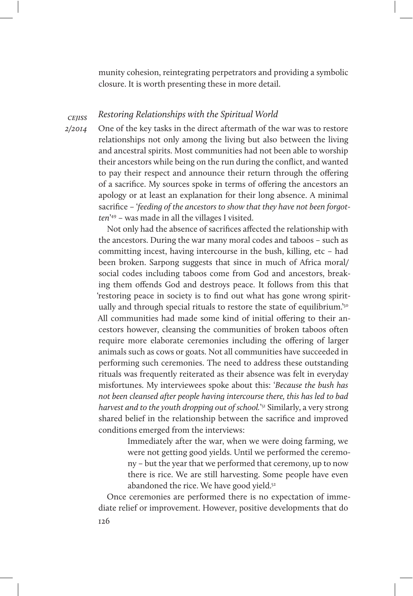munity cohesion, reintegrating perpetrators and providing a symbolic closure. It is worth presenting these in more detail.

#### cejiss Restoring Relationships with the Spiritual World

2/2014

One of the key tasks in the direct aftermath of the war was to restore relationships not only among the living but also between the living and ancestral spirits. Most communities had not been able to worship their ancestors while being on the run during the conflict, and wanted to pay their respect and announce their return through the offering of a sacrifice. My sources spoke in terms of offering the ancestors an apology or at least an explanation for their long absence. A minimal sacrifice – 'feeding of the ancestors to show that they have not been forgotten' 49 – was made in all the villages I visited.

Not only had the absence of sacrifices affected the relationship with the ancestors. During the war many moral codes and taboos – such as committing incest, having intercourse in the bush, killing, etc – had been broken. Sarpong suggests that since in much of Africa moral/ social codes including taboos come from God and ancestors, breaking them offends God and destroys peace. It follows from this that 'restoring peace in society is to find out what has gone wrong spiritually and through special rituals to restore the state of equilibrium.<sup>'50</sup> All communities had made some kind of initial offering to their ancestors however, cleansing the communities of broken taboos often require more elaborate ceremonies including the offering of larger animals such as cows or goats. Not all communities have succeeded in performing such ceremonies. The need to address these outstanding rituals was frequently reiterated as their absence was felt in everyday misfortunes. My interviewees spoke about this: 'Because the bush has not been cleansed after people having intercourse there, this has led to bad harvest and to the youth dropping out of school.'<sup>51</sup> Similarly, a very strong shared belief in the relationship between the sacrifice and improved conditions emerged from the interviews:

> Immediately after the war, when we were doing farming, we were not getting good yields. Until we performed the ceremony – but the year that we performed that ceremony, up to now there is rice. We are still harvesting. Some people have even abandoned the rice. We have good yield.<sup>52</sup>

126 Once ceremonies are performed there is no expectation of immediate relief or improvement. However, positive developments that do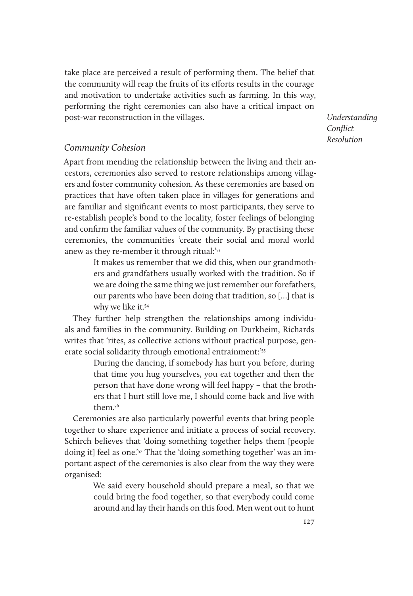take place are perceived a result of performing them. The belief that the community will reap the fruits of its efforts results in the courage and motivation to undertake activities such as farming. In this way, performing the right ceremonies can also have a critical impact on post-war reconstruction in the villages.

Understanding Conflict Resolution

## Community Cohesion

Apart from mending the relationship between the living and their ancestors, ceremonies also served to restore relationships among villagers and foster community cohesion. As these ceremonies are based on practices that have often taken place in villages for generations and are familiar and significant events to most participants, they serve to re-establish people's bond to the locality, foster feelings of belonging and confirm the familiar values of the community. By practising these ceremonies, the communities 'create their social and moral world anew as they re-member it through ritual:'53

> It makes us remember that we did this, when our grandmothers and grandfathers usually worked with the tradition. So if we are doing the same thing we just remember our forefathers, our parents who have been doing that tradition, so […] that is why we like it.54

They further help strengthen the relationships among individuals and families in the community. Building on Durkheim, Richards writes that 'rites, as collective actions without practical purpose, generate social solidarity through emotional entrainment:'<sup>55</sup>

> During the dancing, if somebody has hurt you before, during that time you hug yourselves, you eat together and then the person that have done wrong will feel happy – that the brothers that I hurt still love me, I should come back and live with them.56

Ceremonies are also particularly powerful events that bring people together to share experience and initiate a process of social recovery. Schirch believes that 'doing something together helps them [people doing it] feel as one.'57 That the 'doing something together' was an important aspect of the ceremonies is also clear from the way they were organised:

> We said every household should prepare a meal, so that we could bring the food together, so that everybody could come around and lay their hands on this food. Men went out to hunt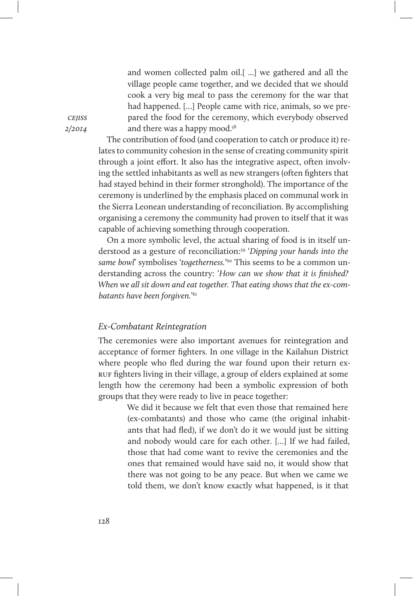and women collected palm oil.[ ...] we gathered and all the village people came together, and we decided that we should cook a very big meal to pass the ceremony for the war that had happened. […] People came with rice, animals, so we prepared the food for the ceremony, which everybody observed and there was a happy mood.<sup>58</sup>

The contribution of food (and cooperation to catch or produce it) relates to community cohesion in the sense of creating community spirit through a joint effort. It also has the integrative aspect, often involving the settled inhabitants as well as new strangers (often fighters that had stayed behind in their former stronghold). The importance of the ceremony is underlined by the emphasis placed on communal work in the Sierra Leonean understanding of reconciliation. By accomplishing organising a ceremony the community had proven to itself that it was capable of achieving something through cooperation.

On a more symbolic level, the actual sharing of food is in itself understood as a gesture of reconciliation:59 'Dipping your hands into the same bowl' symbolises 'togetherness.'<sup>60</sup> This seems to be a common understanding across the country: 'How can we show that it is finished? When we all sit down and eat together. That eating shows that the ex-combatants have been forgiven.' 61

### Ex-Combatant Reintegration

The ceremonies were also important avenues for reintegration and acceptance of former fighters. In one village in the Kailahun District where people who fled during the war found upon their return exruf fighters living in their village, a group of elders explained at some length how the ceremony had been a symbolic expression of both groups that they were ready to live in peace together:

> We did it because we felt that even those that remained here (ex-combatants) and those who came (the original inhabitants that had fled), if we don't do it we would just be sitting and nobody would care for each other. […] If we had failed, those that had come want to revive the ceremonies and the ones that remained would have said no, it would show that there was not going to be any peace. But when we came we told them, we don't know exactly what happened, is it that

**CEIISS** 2/2014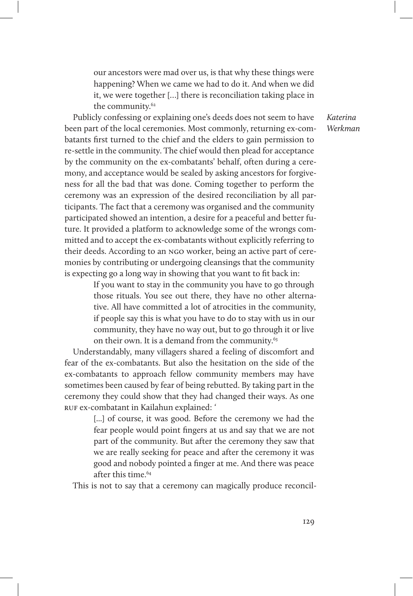our ancestors were mad over us, is that why these things were happening? When we came we had to do it. And when we did it, we were together […] there is reconciliation taking place in the community.<sup>62</sup>

Publicly confessing or explaining one's deeds does not seem to have been part of the local ceremonies. Most commonly, returning ex-combatants first turned to the chief and the elders to gain permission to re-settle in the community. The chief would then plead for acceptance by the community on the ex-combatants' behalf, often during a ceremony, and acceptance would be sealed by asking ancestors for forgiveness for all the bad that was done. Coming together to perform the ceremony was an expression of the desired reconciliation by all participants. The fact that a ceremony was organised and the community participated showed an intention, a desire for a peaceful and better future. It provided a platform to acknowledge some of the wrongs committed and to accept the ex-combatants without explicitly referring to their deeds. According to an ngo worker, being an active part of ceremonies by contributing or undergoing cleansings that the community is expecting go a long way in showing that you want to fit back in:

> If you want to stay in the community you have to go through those rituals. You see out there, they have no other alternative. All have committed a lot of atrocities in the community, if people say this is what you have to do to stay with us in our community, they have no way out, but to go through it or live on their own. It is a demand from the community.<sup>63</sup>

Understandably, many villagers shared a feeling of discomfort and fear of the ex-combatants. But also the hesitation on the side of the ex-combatants to approach fellow community members may have sometimes been caused by fear of being rebutted. By taking part in the ceremony they could show that they had changed their ways. As one ruf ex-combatant in Kailahun explained: '

> [...] of course, it was good. Before the ceremony we had the fear people would point fingers at us and say that we are not part of the community. But after the ceremony they saw that we are really seeking for peace and after the ceremony it was good and nobody pointed a finger at me. And there was peace after this time.<sup>64</sup>

This is not to say that a ceremony can magically produce reconcil-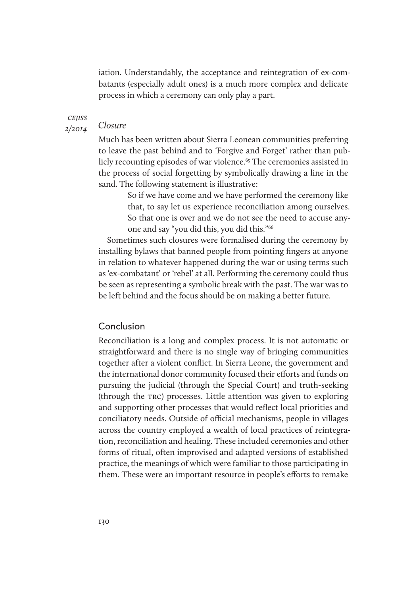iation. Understandably, the acceptance and reintegration of ex-combatants (especially adult ones) is a much more complex and delicate process in which a ceremony can only play a part.

**CEIISS** 

#### 2/2014 Closure

Much has been written about Sierra Leonean communities preferring to leave the past behind and to 'Forgive and Forget' rather than publicly recounting episodes of war violence.<sup>65</sup> The ceremonies assisted in the process of social forgetting by symbolically drawing a line in the sand. The following statement is illustrative:

> So if we have come and we have performed the ceremony like that, to say let us experience reconciliation among ourselves. So that one is over and we do not see the need to accuse anyone and say "you did this, you did this."66

Sometimes such closures were formalised during the ceremony by installing bylaws that banned people from pointing fingers at anyone in relation to whatever happened during the war or using terms such as 'ex-combatant' or 'rebel' at all. Performing the ceremony could thus be seen as representing a symbolic break with the past. The war was to be left behind and the focus should be on making a better future.

## Conclusion

Reconciliation is a long and complex process. It is not automatic or straightforward and there is no single way of bringing communities together after a violent conflict. In Sierra Leone, the government and the international donor community focused their efforts and funds on pursuing the judicial (through the Special Court) and truth-seeking (through the trc) processes. Little attention was given to exploring and supporting other processes that would reflect local priorities and conciliatory needs. Outside of official mechanisms, people in villages across the country employed a wealth of local practices of reintegration, reconciliation and healing. These included ceremonies and other forms of ritual, often improvised and adapted versions of established practice, the meanings of which were familiar to those participating in them. These were an important resource in people's efforts to remake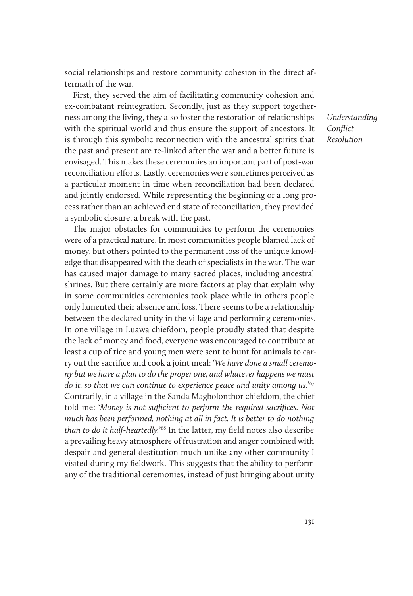social relationships and restore community cohesion in the direct aftermath of the war.

First, they served the aim of facilitating community cohesion and ex-combatant reintegration. Secondly, just as they support togetherness among the living, they also foster the restoration of relationships with the spiritual world and thus ensure the support of ancestors. It is through this symbolic reconnection with the ancestral spirits that the past and present are re-linked after the war and a better future is envisaged. This makes these ceremonies an important part of post-war reconciliation efforts. Lastly, ceremonies were sometimes perceived as a particular moment in time when reconciliation had been declared and jointly endorsed. While representing the beginning of a long process rather than an achieved end state of reconciliation, they provided a symbolic closure, a break with the past.

The major obstacles for communities to perform the ceremonies were of a practical nature. In most communities people blamed lack of money, but others pointed to the permanent loss of the unique knowledge that disappeared with the death of specialists in the war. The war has caused major damage to many sacred places, including ancestral shrines. But there certainly are more factors at play that explain why in some communities ceremonies took place while in others people only lamented their absence and loss. There seems to be a relationship between the declared unity in the village and performing ceremonies. In one village in Luawa chiefdom, people proudly stated that despite the lack of money and food, everyone was encouraged to contribute at least a cup of rice and young men were sent to hunt for animals to carry out the sacrifice and cook a joint meal: 'We have done a small ceremony but we have a plan to do the proper one, and whatever happens we must do it, so that we can continue to experience peace and unity among us.' $^{67}$ Contrarily, in a village in the Sanda Magbolonthor chiefdom, the chief told me: 'Money is not sufficient to perform the required sacrifices. Not much has been performed, nothing at all in fact. It is better to do nothing than to do it half-heartedly.<sup>168</sup> In the latter, my field notes also describe a prevailing heavy atmosphere of frustration and anger combined with despair and general destitution much unlike any other community I visited during my fieldwork. This suggests that the ability to perform any of the traditional ceremonies, instead of just bringing about unity

Understanding Conflict Resolution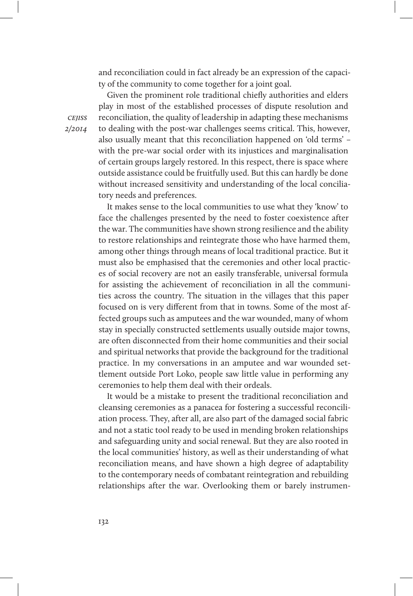and reconciliation could in fact already be an expression of the capacity of the community to come together for a joint goal.

Given the prominent role traditional chiefly authorities and elders play in most of the established processes of dispute resolution and reconciliation, the quality of leadership in adapting these mechanisms to dealing with the post-war challenges seems critical. This, however, also usually meant that this reconciliation happened on 'old terms' – with the pre-war social order with its injustices and marginalisation of certain groups largely restored. In this respect, there is space where outside assistance could be fruitfully used. But this can hardly be done without increased sensitivity and understanding of the local conciliatory needs and preferences.

It makes sense to the local communities to use what they 'know' to face the challenges presented by the need to foster coexistence after the war. The communities have shown strong resilience and the ability to restore relationships and reintegrate those who have harmed them, among other things through means of local traditional practice. But it must also be emphasised that the ceremonies and other local practices of social recovery are not an easily transferable, universal formula for assisting the achievement of reconciliation in all the communities across the country. The situation in the villages that this paper focused on is very different from that in towns. Some of the most affected groups such as amputees and the war wounded, many of whom stay in specially constructed settlements usually outside major towns, are often disconnected from their home communities and their social and spiritual networks that provide the background for the traditional practice. In my conversations in an amputee and war wounded settlement outside Port Loko, people saw little value in performing any ceremonies to help them deal with their ordeals.

It would be a mistake to present the traditional reconciliation and cleansing ceremonies as a panacea for fostering a successful reconciliation process. They, after all, are also part of the damaged social fabric and not a static tool ready to be used in mending broken relationships and safeguarding unity and social renewal. But they are also rooted in the local communities' history, as well as their understanding of what reconciliation means, and have shown a high degree of adaptability to the contemporary needs of combatant reintegration and rebuilding relationships after the war. Overlooking them or barely instrumen-

**CEIISS** 2/2014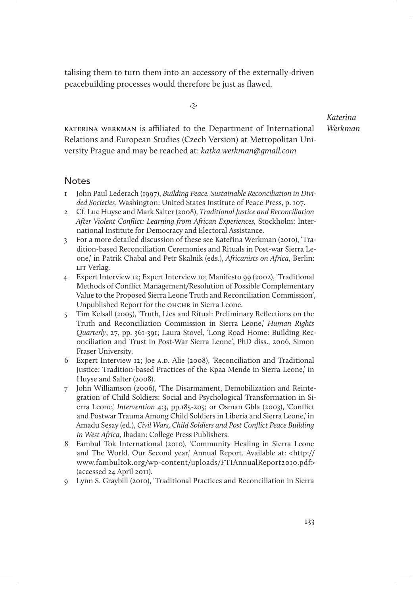talising them to turn them into an accessory of the externally-driven peacebuilding processes would therefore be just as flawed.

 $\hat{\sim}$ 

KATERINA WERKMAN is affiliated to the Department of International Relations and European Studies (Czech Version) at Metropolitan University Prague and may be reached at: katka.werkman@gmail.com

**Notes** 

- 1 John Paul Lederach (1997), Building Peace. Sustainable Reconciliation in Divided Societies, Washington: United States Institute of Peace Press, p. 107.
- 2 Cf. Luc Huyse and Mark Salter (2008), Traditional Justice and Reconciliation After Violent Conflict: Learning from African Experiences, Stockholm: International Institute for Democracy and Electoral Assistance.
- 3 For a more detailed discussion of these see Kateřina Werkman (2010), 'Tradition-based Reconciliation Ceremonies and Rituals in Post-war Sierra Leone,' in Patrik Chabal and Petr Skalnik (eds.), Africanists on Africa, Berlin: LIT Verlag.
- 4 Expert Interview 12; Expert Interview 10; Manifesto 99 (2002), 'Traditional Methods of Conflict Management/Resolution of Possible Complementary Value to the Proposed Sierra Leone Truth and Reconciliation Commission', Unpublished Report for the OHCHR in Sierra Leone.
- 5 Tim Kelsall (2005), 'Truth, Lies and Ritual: Preliminary Reflections on the Truth and Reconciliation Commission in Sierra Leone,' Human Rights Quarterly, 27, pp. 361-391; Laura Stovel, 'Long Road Home: Building Reconciliation and Trust in Post-War Sierra Leone', PhD diss., 2006, Simon Fraser University.
- 6 Expert Interview 12; Joe A.D. Alie (2008), 'Reconciliation and Traditional Justice: Tradition-based Practices of the Kpaa Mende in Sierra Leone,' in Huyse and Salter (2008).
- 7 John Williamson (2006), 'The Disarmament, Demobilization and Reintegration of Child Soldiers: Social and Psychological Transformation in Sierra Leone,' Intervention 4:3, pp.185-205; or Osman Gbla (2003), 'Conflict and Postwar Trauma Among Child Soldiers in Liberia and Sierra Leone,' in Amadu Sesay (ed.), Civil Wars, Child Soldiers and Post Conflict Peace Building in West Africa, Ibadan: College Press Publishers.
- 8 Fambul Tok International (2010), 'Community Healing in Sierra Leone and The World. Our Second year,' Annual Report. Available at: <http:// www.fambultok.org/wp-content/uploads/FTIAnnualReport2010.pdf> (accessed 24 April 2011).
- 9 Lynn S. Graybill (2010), 'Traditional Practices and Reconciliation in Sierra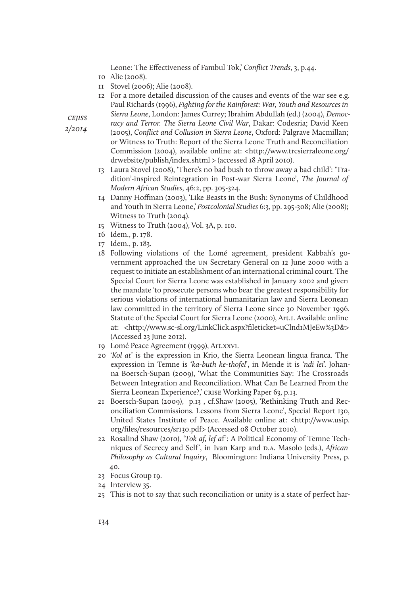Leone: The Effectiveness of Fambul Tok,' Conflict Trends, 3, p.44.

- 10 Alie (2008).
- 11 Stovel (2006); Alie (2008).
- 12 For a more detailed discussion of the causes and events of the war see e.g. Paul Richards (1996), Fighting for the Rainforest: War, Youth and Resources in Sierra Leone, London: James Currey; Ibrahim Abdullah (ed.) (2004), Democ-
- cejiss 2/2014
- racy and Terror. The Sierra Leone Civil War, Dakar: Codesria; David Keen (2005), Conflict and Collusion in Sierra Leone, Oxford: Palgrave Macmillan; or Witness to Truth: Report of the Sierra Leone Truth and Reconciliation Commission (2004), available online at: <http://www.trcsierraleone.org/ drwebsite/publish/index.shtml > (accessed 18 April 2010).
- 13 Laura Stovel (2008), 'There's no bad bush to throw away a bad child': 'Tradition'-inspired Reintegration in Post-war Sierra Leone', The Journal of Modern African Studies, 46:2, pp. 305-324.
- 14 Danny Hoffman (2003), 'Like Beasts in the Bush: Synonyms of Childhood and Youth in Sierra Leone,' Postcolonial Studies 6:3, pp. 295-308; Alie (2008); Witness to Truth (2004).
- 15 Witness to Truth (2004), Vol. 3A, p. 110.
- 16 Idem., p. 178.
- 17 Idem., p. 183.
- 18 Following violations of the Lomé agreement, president Kabbah's government approached the un Secretary General on 12 June 2000 with a request to initiate an establishment of an international criminal court. The Special Court for Sierra Leone was established in January 2002 and given the mandate 'to prosecute persons who bear the greatest responsibility for serious violations of international humanitarian law and Sierra Leonean law committed in the territory of Sierra Leone since 30 November 1996. Statute of the Special Court for Sierra Leone (2000), Art.1. Available online at: <http://www.sc-sl.org/LinkClick.aspx?fileticket=uClnd1MJeEw%3D&> (Accessed 23 June 2012).
- 19 Lomé Peace Agreement (1999), Art.xxvi.
- 20 'Kol at' is the expression in Krio, the Sierra Leonean lingua franca. The expression in Temne is 'ka-buth ke-thofel', in Mende it is 'ndi lei'. Johanna Boersch-Supan (2009), 'What the Communities Say: The Crossroads Between Integration and Reconciliation. What Can Be Learned From the Sierra Leonean Experience?,' CRISE Working Paper 63, p.13.
- 21 Boersch-Supan (2009), p.13 , cf.Shaw (2005), 'Rethinking Truth and Reconciliation Commissions. Lessons from Sierra Leone', Special Report 130, United States Institute of Peace. Available online at: <http://www.usip. org/files/resources/sr130.pdf> (Accessed 08 October 2010).
- 22 Rosalind Shaw (2010), 'Tok af, lef af': A Political Economy of Temne Techniques of Secrecy and Self', in Ivan Karp and D.A. Masolo (eds.), African Philosophy as Cultural Inquiry, Bloomington: Indiana University Press, p. 40.
- 23 Focus Group 19.
- 24 Interview 35.
- 25 This is not to say that such reconciliation or unity is a state of perfect har-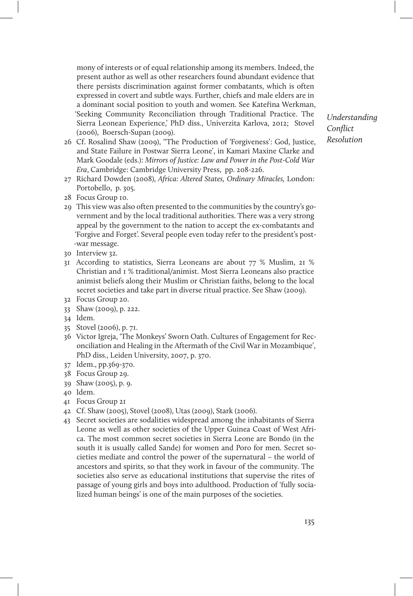mony of interests or of equal relationship among its members. Indeed, the present author as well as other researchers found abundant evidence that there persists discrimination against former combatants, which is often expressed in covert and subtle ways. Further, chiefs and male elders are in a dominant social position to youth and women. See Kateřina Werkman, 'Seeking Community Reconciliation through Traditional Practice. The Sierra Leonean Experience,' PhD diss., Univerzita Karlova, 2012; Stovel (2006), Boersch-Supan (2009).

- 26 Cf. Rosalind Shaw (2009), ''The Production of 'Forgiveness': God, Justice, and State Failure in Postwar Sierra Leone', in Kamari Maxine Clarke and Mark Goodale (eds.): Mirrors of Justice: Law and Power in the Post-Cold War Era, Cambridge: Cambridge University Press, pp. 208-226.
- 27 Richard Dowden (2008), Africa: Altered States, Ordinary Miracles, London: Portobello, p. 305.
- 28 Focus Group 10.
- 29 This view was also often presented to the communities by the country's government and by the local traditional authorities. There was a very strong appeal by the government to the nation to accept the ex-combatants and 'Forgive and Forget'. Several people even today refer to the president's post- -war message.
- 30 Interview 32.
- 31 According to statistics, Sierra Leoneans are about 77 % Muslim, 21 % Christian and 1 % traditional/animist. Most Sierra Leoneans also practice animist beliefs along their Muslim or Christian faiths, belong to the local secret societies and take part in diverse ritual practice. See Shaw (2009).
- 32 Focus Group 20.
- 33 Shaw (2009), p. 222.
- 34 Idem.
- 35 Stovel (2006), p. 71.
- 36 Victor Igreja, 'The Monkeys' Sworn Oath. Cultures of Engagement for Reconciliation and Healing in the Aftermath of the Civil War in Mozambique', PhD diss., Leiden University, 2007, p. 370.
- 37 Idem., pp.369-370.
- 38 Focus Group 29.
- 39 Shaw (2005), p. 9.
- 40 Idem.
- 41 Focus Group 21
- 42 Cf. Shaw (2005), Stovel (2008), Utas (2009), Stark (2006).
- 43 Secret societies are sodalities widespread among the inhabitants of Sierra Leone as well as other societies of the Upper Guinea Coast of West Africa. The most common secret societies in Sierra Leone are Bondo (in the south it is usually called Sande) for women and Poro for men. Secret societies mediate and control the power of the supernatural – the world of ancestors and spirits, so that they work in favour of the community. The societies also serve as educational institutions that supervise the rites of passage of young girls and boys into adulthood. Production of 'fully socialized human beings' is one of the main purposes of the societies.

Understanding Conflict Resolution